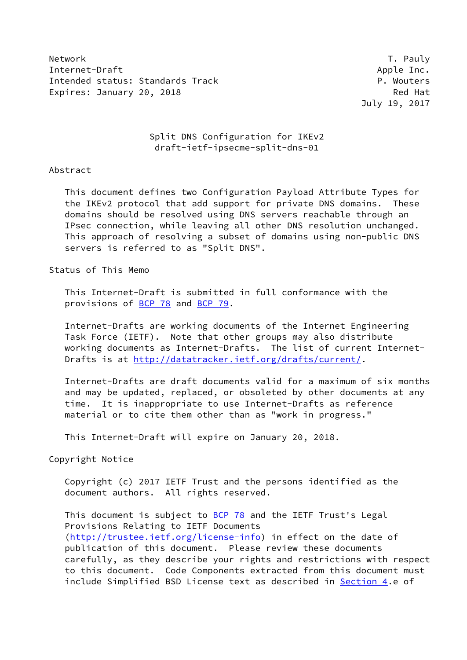Network T. Pauly Internet-Draft Apple Inc. Intended status: Standards Track P. Wouters Expires: January 20, 2018 **Red Hat** 

July 19, 2017

# Split DNS Configuration for IKEv2 draft-ietf-ipsecme-split-dns-01

#### Abstract

 This document defines two Configuration Payload Attribute Types for the IKEv2 protocol that add support for private DNS domains. These domains should be resolved using DNS servers reachable through an IPsec connection, while leaving all other DNS resolution unchanged. This approach of resolving a subset of domains using non-public DNS servers is referred to as "Split DNS".

Status of This Memo

 This Internet-Draft is submitted in full conformance with the provisions of [BCP 78](https://datatracker.ietf.org/doc/pdf/bcp78) and [BCP 79](https://datatracker.ietf.org/doc/pdf/bcp79).

 Internet-Drafts are working documents of the Internet Engineering Task Force (IETF). Note that other groups may also distribute working documents as Internet-Drafts. The list of current Internet Drafts is at<http://datatracker.ietf.org/drafts/current/>.

 Internet-Drafts are draft documents valid for a maximum of six months and may be updated, replaced, or obsoleted by other documents at any time. It is inappropriate to use Internet-Drafts as reference material or to cite them other than as "work in progress."

This Internet-Draft will expire on January 20, 2018.

Copyright Notice

 Copyright (c) 2017 IETF Trust and the persons identified as the document authors. All rights reserved.

This document is subject to **[BCP 78](https://datatracker.ietf.org/doc/pdf/bcp78)** and the IETF Trust's Legal Provisions Relating to IETF Documents [\(http://trustee.ietf.org/license-info](http://trustee.ietf.org/license-info)) in effect on the date of publication of this document. Please review these documents carefully, as they describe your rights and restrictions with respect to this document. Code Components extracted from this document must include Simplified BSD License text as described in [Section 4.](#page-6-0)e of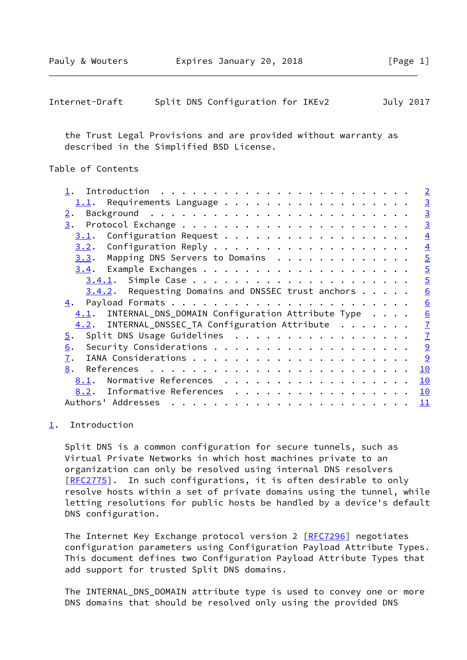<span id="page-1-1"></span>

| Internet-Draft |  | Split DNS Configuration for IKEv2 |  | July 2017 |
|----------------|--|-----------------------------------|--|-----------|
|----------------|--|-----------------------------------|--|-----------|

 the Trust Legal Provisions and are provided without warranty as described in the Simplified BSD License.

# Table of Contents

|                                                       |    | $\overline{2}$ |
|-------------------------------------------------------|----|----------------|
| 1.1. Requirements Language                            |    | $\overline{3}$ |
| $\overline{2}$ .                                      |    | $\overline{3}$ |
| 3.                                                    |    | $\overline{3}$ |
| Configuration Request<br>3.1.                         |    | $\overline{4}$ |
|                                                       |    | $\overline{4}$ |
| Mapping DNS Servers to Domains<br>3.3.                |    | $\overline{5}$ |
|                                                       |    | $\overline{5}$ |
|                                                       |    | $\overline{5}$ |
| $3.4.2$ . Requesting Domains and DNSSEC trust anchors |    | 6              |
| 4.                                                    |    | 6              |
| 4.1. INTERNAL_DNS_DOMAIN Configuration Attribute Type |    | 6              |
| INTERNAL_DNSSEC_TA Configuration Attribute<br>4.2.    |    | $\overline{1}$ |
| Split DNS Usage Guidelines<br>5.                      |    | $\overline{1}$ |
| 6.                                                    |    | $\overline{9}$ |
| 7.                                                    |    | 9              |
| 8.                                                    | 10 |                |
| Normative References<br>8.1.                          | 10 |                |
| 8.2. Informative References                           | 10 |                |
| Authors' Addresses                                    | 11 |                |
|                                                       |    |                |

#### <span id="page-1-0"></span>[1](#page-1-0). Introduction

 Split DNS is a common configuration for secure tunnels, such as Virtual Private Networks in which host machines private to an organization can only be resolved using internal DNS resolvers [\[RFC2775](https://datatracker.ietf.org/doc/pdf/rfc2775)]. In such configurations, it is often desirable to only resolve hosts within a set of private domains using the tunnel, while letting resolutions for public hosts be handled by a device's default DNS configuration.

The Internet Key Exchange protocol version 2 [\[RFC7296](https://datatracker.ietf.org/doc/pdf/rfc7296)] negotiates configuration parameters using Configuration Payload Attribute Types. This document defines two Configuration Payload Attribute Types that add support for trusted Split DNS domains.

 The INTERNAL\_DNS\_DOMAIN attribute type is used to convey one or more DNS domains that should be resolved only using the provided DNS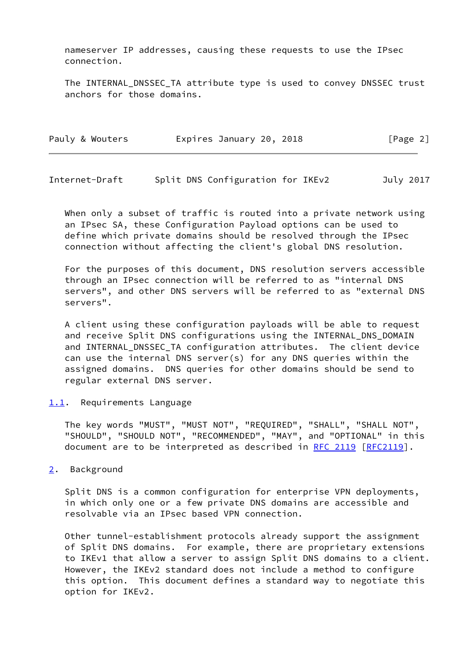nameserver IP addresses, causing these requests to use the IPsec connection.

 The INTERNAL\_DNSSEC\_TA attribute type is used to convey DNSSEC trust anchors for those domains.

| Pauly & Wouters | Expires January 20, 2018 | [Page 2] |
|-----------------|--------------------------|----------|
|-----------------|--------------------------|----------|

<span id="page-2-1"></span>Internet-Draft Split DNS Configuration for IKEv2 July 2017

 When only a subset of traffic is routed into a private network using an IPsec SA, these Configuration Payload options can be used to define which private domains should be resolved through the IPsec connection without affecting the client's global DNS resolution.

 For the purposes of this document, DNS resolution servers accessible through an IPsec connection will be referred to as "internal DNS servers", and other DNS servers will be referred to as "external DNS servers".

 A client using these configuration payloads will be able to request and receive Split DNS configurations using the INTERNAL DNS DOMAIN and INTERNAL DNSSEC TA configuration attributes. The client device can use the internal DNS server(s) for any DNS queries within the assigned domains. DNS queries for other domains should be send to regular external DNS server.

<span id="page-2-0"></span>[1.1](#page-2-0). Requirements Language

 The key words "MUST", "MUST NOT", "REQUIRED", "SHALL", "SHALL NOT", "SHOULD", "SHOULD NOT", "RECOMMENDED", "MAY", and "OPTIONAL" in this document are to be interpreted as described in [RFC 2119 \[RFC2119](https://datatracker.ietf.org/doc/pdf/rfc2119)].

<span id="page-2-2"></span>[2](#page-2-2). Background

 Split DNS is a common configuration for enterprise VPN deployments, in which only one or a few private DNS domains are accessible and resolvable via an IPsec based VPN connection.

 Other tunnel-establishment protocols already support the assignment of Split DNS domains. For example, there are proprietary extensions to IKEv1 that allow a server to assign Split DNS domains to a client. However, the IKEv2 standard does not include a method to configure this option. This document defines a standard way to negotiate this option for IKEv2.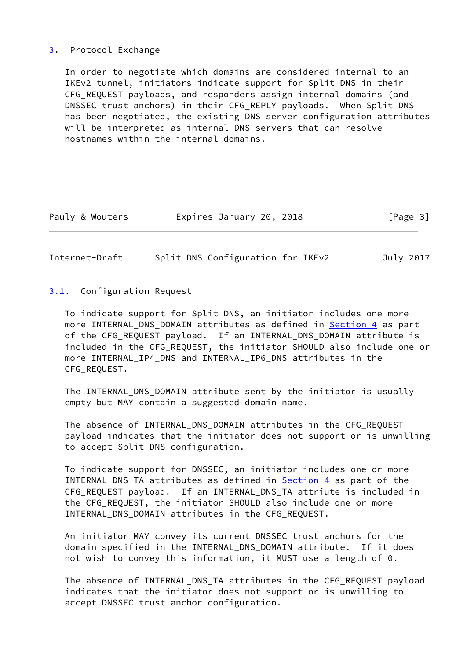## <span id="page-3-0"></span>[3](#page-3-0). Protocol Exchange

 In order to negotiate which domains are considered internal to an IKEv2 tunnel, initiators indicate support for Split DNS in their CFG\_REQUEST payloads, and responders assign internal domains (and DNSSEC trust anchors) in their CFG\_REPLY payloads. When Split DNS has been negotiated, the existing DNS server configuration attributes will be interpreted as internal DNS servers that can resolve hostnames within the internal domains.

| Pauly & Wouters | Expires January 20, 2018 | [Page 3] |
|-----------------|--------------------------|----------|
|-----------------|--------------------------|----------|

<span id="page-3-2"></span>Internet-Draft Split DNS Configuration for IKEv2 July 2017

## <span id="page-3-1"></span>[3.1](#page-3-1). Configuration Request

 To indicate support for Split DNS, an initiator includes one more more INTERNAL\_DNS\_DOMAIN attributes as defined in [Section 4](#page-6-0) as part of the CFG REQUEST payload. If an INTERNAL DNS DOMAIN attribute is included in the CFG\_REQUEST, the initiator SHOULD also include one or more INTERNAL\_IP4\_DNS and INTERNAL\_IP6\_DNS attributes in the CFG\_REQUEST.

 The INTERNAL\_DNS\_DOMAIN attribute sent by the initiator is usually empty but MAY contain a suggested domain name.

 The absence of INTERNAL\_DNS\_DOMAIN attributes in the CFG\_REQUEST payload indicates that the initiator does not support or is unwilling to accept Split DNS configuration.

 To indicate support for DNSSEC, an initiator includes one or more INTERNAL\_DNS\_TA attributes as defined in [Section 4](#page-6-0) as part of the CFG\_REQUEST payload. If an INTERNAL\_DNS\_TA attriute is included in the CFG\_REQUEST, the initiator SHOULD also include one or more INTERNAL\_DNS\_DOMAIN attributes in the CFG\_REQUEST.

 An initiator MAY convey its current DNSSEC trust anchors for the domain specified in the INTERNAL\_DNS\_DOMAIN attribute. If it does not wish to convey this information, it MUST use a length of 0.

 The absence of INTERNAL\_DNS\_TA attributes in the CFG\_REQUEST payload indicates that the initiator does not support or is unwilling to accept DNSSEC trust anchor configuration.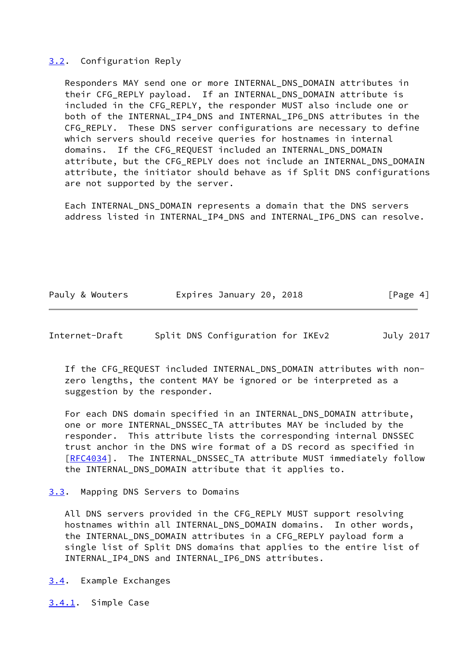## <span id="page-4-0"></span>[3.2](#page-4-0). Configuration Reply

 Responders MAY send one or more INTERNAL\_DNS\_DOMAIN attributes in their CFG REPLY payload. If an INTERNAL DNS DOMAIN attribute is included in the CFG REPLY, the responder MUST also include one or both of the INTERNAL\_IP4\_DNS and INTERNAL\_IP6\_DNS attributes in the CFG\_REPLY. These DNS server configurations are necessary to define which servers should receive queries for hostnames in internal domains. If the CFG\_REQUEST included an INTERNAL\_DNS\_DOMAIN attribute, but the CFG\_REPLY does not include an INTERNAL\_DNS\_DOMAIN attribute, the initiator should behave as if Split DNS configurations are not supported by the server.

 Each INTERNAL\_DNS\_DOMAIN represents a domain that the DNS servers address listed in INTERNAL IP4 DNS and INTERNAL IP6 DNS can resolve.

| Pauly & Wouters | Expires January 20, 2018 |  | [Page 4] |
|-----------------|--------------------------|--|----------|
|-----------------|--------------------------|--|----------|

<span id="page-4-2"></span>Internet-Draft Split DNS Configuration for IKEv2 July 2017

If the CFG REQUEST included INTERNAL DNS DOMAIN attributes with non zero lengths, the content MAY be ignored or be interpreted as a suggestion by the responder.

 For each DNS domain specified in an INTERNAL\_DNS\_DOMAIN attribute, one or more INTERNAL\_DNSSEC\_TA attributes MAY be included by the responder. This attribute lists the corresponding internal DNSSEC trust anchor in the DNS wire format of a DS record as specified in [\[RFC4034](https://datatracker.ietf.org/doc/pdf/rfc4034)]. The INTERNAL\_DNSSEC\_TA attribute MUST immediately follow the INTERNAL\_DNS\_DOMAIN attribute that it applies to.

#### <span id="page-4-1"></span>[3.3](#page-4-1). Mapping DNS Servers to Domains

 All DNS servers provided in the CFG\_REPLY MUST support resolving hostnames within all INTERNAL\_DNS\_DOMAIN domains. In other words, the INTERNAL\_DNS\_DOMAIN attributes in a CFG\_REPLY payload form a single list of Split DNS domains that applies to the entire list of INTERNAL IP4 DNS and INTERNAL IP6 DNS attributes.

<span id="page-4-3"></span>[3.4](#page-4-3). Example Exchanges

<span id="page-4-4"></span>[3.4.1](#page-4-4). Simple Case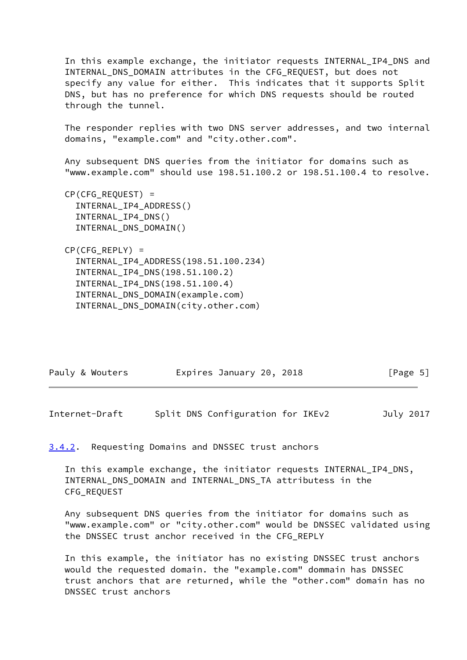In this example exchange, the initiator requests INTERNAL\_IP4\_DNS and INTERNAL\_DNS\_DOMAIN attributes in the CFG\_REQUEST, but does not specify any value for either. This indicates that it supports Split DNS, but has no preference for which DNS requests should be routed through the tunnel.

 The responder replies with two DNS server addresses, and two internal domains, "example.com" and "city.other.com".

 Any subsequent DNS queries from the initiator for domains such as "www.example.com" should use 198.51.100.2 or 198.51.100.4 to resolve.

 CP(CFG\_REQUEST) = INTERNAL\_IP4\_ADDRESS() INTERNAL\_IP4\_DNS() INTERNAL\_DNS\_DOMAIN()

 $CP(CFG)$  REPLY) = INTERNAL\_IP4\_ADDRESS(198.51.100.234) INTERNAL\_IP4\_DNS(198.51.100.2) INTERNAL\_IP4\_DNS(198.51.100.4) INTERNAL\_DNS\_DOMAIN(example.com) INTERNAL\_DNS\_DOMAIN(city.other.com)

| Pauly & Wouters | Expires January 20, 2018 | [Page 5] |
|-----------------|--------------------------|----------|
|                 |                          |          |

<span id="page-5-1"></span>Internet-Draft Split DNS Configuration for IKEv2 July 2017

<span id="page-5-0"></span>[3.4.2](#page-5-0). Requesting Domains and DNSSEC trust anchors

 In this example exchange, the initiator requests INTERNAL\_IP4\_DNS, INTERNAL\_DNS\_DOMAIN and INTERNAL\_DNS\_TA attributess in the CFG\_REQUEST

 Any subsequent DNS queries from the initiator for domains such as "www.example.com" or "city.other.com" would be DNSSEC validated using the DNSSEC trust anchor received in the CFG\_REPLY

 In this example, the initiator has no existing DNSSEC trust anchors would the requested domain. the "example.com" dommain has DNSSEC trust anchors that are returned, while the "other.com" domain has no DNSSEC trust anchors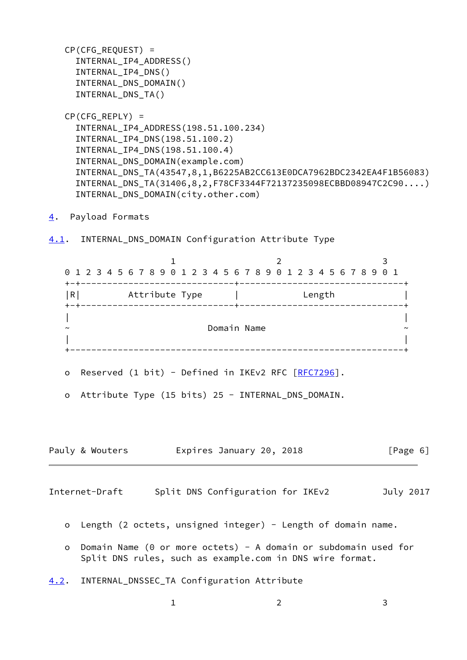CP(CFG\_REQUEST) = INTERNAL\_IP4\_ADDRESS() INTERNAL\_IP4\_DNS() INTERNAL\_DNS\_DOMAIN() INTERNAL\_DNS\_TA()  $CP(CFG)$  REPLY) = INTERNAL\_IP4\_ADDRESS(198.51.100.234) INTERNAL\_IP4\_DNS(198.51.100.2) INTERNAL\_IP4\_DNS(198.51.100.4) INTERNAL\_DNS\_DOMAIN(example.com)

 INTERNAL\_DNS\_TA(43547,8,1,B6225AB2CC613E0DCA7962BDC2342EA4F1B56083) INTERNAL\_DNS\_TA(31406,8,2,F78CF3344F72137235098ECBBD08947C2C90....) INTERNAL\_DNS\_DOMAIN(city.other.com)

<span id="page-6-0"></span>[4](#page-6-0). Payload Formats

<span id="page-6-1"></span>[4.1](#page-6-1). INTERNAL\_DNS\_DOMAIN Configuration Attribute Type

1 2 3 0 1 2 3 4 5 6 7 8 9 0 1 2 3 4 5 6 7 8 9 0 1 2 3 4 5 6 7 8 9 0 1 +-+-----------------------------+-------------------------------+ |R| Attribute Type | Length | +-+-----------------------------+-------------------------------+ | | ~ Domain Name ~ | | +---------------------------------------------------------------+ o Reserved (1 bit) - Defined in IKEv2 RFC [[RFC7296\]](https://datatracker.ietf.org/doc/pdf/rfc7296). o Attribute Type (15 bits) 25 - INTERNAL\_DNS\_DOMAIN.

<span id="page-6-3"></span>Internet-Draft Split DNS Configuration for IKEv2 July 2017

Pauly & Wouters **Expires January 20, 2018** [Page 6]

- o Length (2 octets, unsigned integer) Length of domain name.
- o Domain Name (0 or more octets) A domain or subdomain used for Split DNS rules, such as example.com in DNS wire format.
- <span id="page-6-2"></span>[4.2](#page-6-2). INTERNAL\_DNSSEC\_TA Configuration Attribute

1 2 3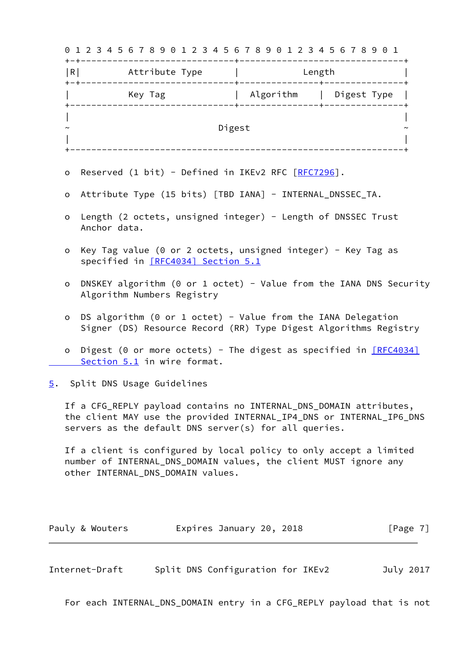| Key Tag                  Algorithm       Digest Type<br>Reserved (1 bit) - Defined in IKEv2 RFC [RFC7296].<br>Attribute Type (15 bits) [TBD IANA] - INTERNAL_DNSSEC_TA.<br>Length (2 octets, unsigned integer) - Length of DNSSEC Trust<br>Anchor data.<br>Key Tag value (0 or 2 octets, unsigned integer) - Key Tag as<br>specified in [RFC4034] Section 5.1<br>DNSKEY algorithm (0 or 1 octet) - Value from the IANA DNS Security<br>Algorithm Numbers Registry<br>DS algorithm (0 or 1 octet) - Value from the IANA Delegation<br>Signer (DS) Resource Record (RR) Type Digest Algorithms Registry<br>Digest (0 or more octets) - The digest as specified in $[RECA034]$<br>Section 5.1 in wire format. | Digest          |                                                                                                                                                                                                         |
|------------------------------------------------------------------------------------------------------------------------------------------------------------------------------------------------------------------------------------------------------------------------------------------------------------------------------------------------------------------------------------------------------------------------------------------------------------------------------------------------------------------------------------------------------------------------------------------------------------------------------------------------------------------------------------------------------------|-----------------|---------------------------------------------------------------------------------------------------------------------------------------------------------------------------------------------------------|
|                                                                                                                                                                                                                                                                                                                                                                                                                                                                                                                                                                                                                                                                                                            |                 |                                                                                                                                                                                                         |
|                                                                                                                                                                                                                                                                                                                                                                                                                                                                                                                                                                                                                                                                                                            |                 |                                                                                                                                                                                                         |
|                                                                                                                                                                                                                                                                                                                                                                                                                                                                                                                                                                                                                                                                                                            |                 |                                                                                                                                                                                                         |
|                                                                                                                                                                                                                                                                                                                                                                                                                                                                                                                                                                                                                                                                                                            |                 |                                                                                                                                                                                                         |
|                                                                                                                                                                                                                                                                                                                                                                                                                                                                                                                                                                                                                                                                                                            |                 |                                                                                                                                                                                                         |
|                                                                                                                                                                                                                                                                                                                                                                                                                                                                                                                                                                                                                                                                                                            |                 |                                                                                                                                                                                                         |
|                                                                                                                                                                                                                                                                                                                                                                                                                                                                                                                                                                                                                                                                                                            |                 |                                                                                                                                                                                                         |
|                                                                                                                                                                                                                                                                                                                                                                                                                                                                                                                                                                                                                                                                                                            |                 |                                                                                                                                                                                                         |
|                                                                                                                                                                                                                                                                                                                                                                                                                                                                                                                                                                                                                                                                                                            |                 |                                                                                                                                                                                                         |
| Split DNS Usage Guidelines                                                                                                                                                                                                                                                                                                                                                                                                                                                                                                                                                                                                                                                                                 |                 |                                                                                                                                                                                                         |
| If a CFG_REPLY payload contains no INTERNAL_DNS_DOMAIN attributes,<br>the client MAY use the provided INTERNAL_IP4_DNS or INTERNAL_IP6_DNS<br>servers as the default DNS server(s) for all queries.                                                                                                                                                                                                                                                                                                                                                                                                                                                                                                        |                 |                                                                                                                                                                                                         |
|                                                                                                                                                                                                                                                                                                                                                                                                                                                                                                                                                                                                                                                                                                            |                 |                                                                                                                                                                                                         |
|                                                                                                                                                                                                                                                                                                                                                                                                                                                                                                                                                                                                                                                                                                            |                 | [Page 7]                                                                                                                                                                                                |
|                                                                                                                                                                                                                                                                                                                                                                                                                                                                                                                                                                                                                                                                                                            | Pauly & Wouters | If a client is configured by local policy to only accept a limited<br>number of INTERNAL_DNS_DOMAIN values, the client MUST ignore any<br>other INTERNAL_DNS_DOMAIN values.<br>Expires January 20, 2018 |

<span id="page-7-0"></span>For each INTERNAL\_DNS\_DOMAIN entry in a CFG\_REPLY payload that is not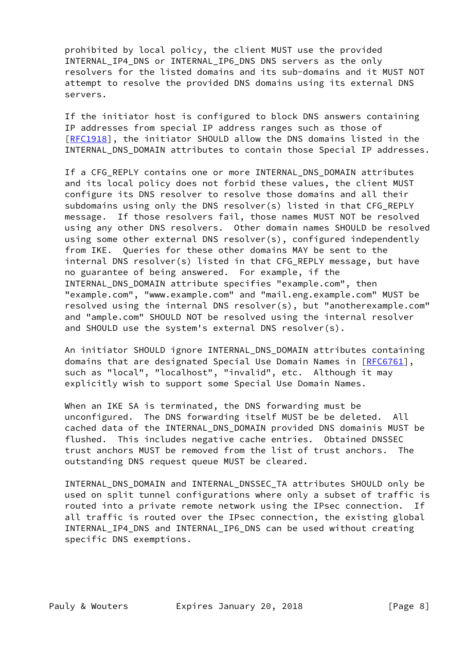prohibited by local policy, the client MUST use the provided INTERNAL\_IP4\_DNS or INTERNAL\_IP6\_DNS DNS servers as the only resolvers for the listed domains and its sub-domains and it MUST NOT attempt to resolve the provided DNS domains using its external DNS servers.

 If the initiator host is configured to block DNS answers containing IP addresses from special IP address ranges such as those of [\[RFC1918](https://datatracker.ietf.org/doc/pdf/rfc1918)], the initiator SHOULD allow the DNS domains listed in the INTERNAL\_DNS\_DOMAIN attributes to contain those Special IP addresses.

 If a CFG\_REPLY contains one or more INTERNAL\_DNS\_DOMAIN attributes and its local policy does not forbid these values, the client MUST configure its DNS resolver to resolve those domains and all their subdomains using only the DNS resolver(s) listed in that CFG\_REPLY message. If those resolvers fail, those names MUST NOT be resolved using any other DNS resolvers. Other domain names SHOULD be resolved using some other external DNS resolver(s), configured independently from IKE. Queries for these other domains MAY be sent to the internal DNS resolver(s) listed in that CFG REPLY message, but have no guarantee of being answered. For example, if the INTERNAL\_DNS\_DOMAIN attribute specifies "example.com", then "example.com", "www.example.com" and "mail.eng.example.com" MUST be resolved using the internal DNS resolver(s), but "anotherexample.com" and "ample.com" SHOULD NOT be resolved using the internal resolver and SHOULD use the system's external DNS resolver(s).

 An initiator SHOULD ignore INTERNAL\_DNS\_DOMAIN attributes containing domains that are designated Special Use Domain Names in [\[RFC6761](https://datatracker.ietf.org/doc/pdf/rfc6761)], such as "local", "localhost", "invalid", etc. Although it may explicitly wish to support some Special Use Domain Names.

 When an IKE SA is terminated, the DNS forwarding must be unconfigured. The DNS forwarding itself MUST be be deleted. All cached data of the INTERNAL\_DNS\_DOMAIN provided DNS domainis MUST be flushed. This includes negative cache entries. Obtained DNSSEC trust anchors MUST be removed from the list of trust anchors. The outstanding DNS request queue MUST be cleared.

 INTERNAL\_DNS\_DOMAIN and INTERNAL\_DNSSEC\_TA attributes SHOULD only be used on split tunnel configurations where only a subset of traffic is routed into a private remote network using the IPsec connection. If all traffic is routed over the IPsec connection, the existing global INTERNAL\_IP4\_DNS and INTERNAL\_IP6\_DNS can be used without creating specific DNS exemptions.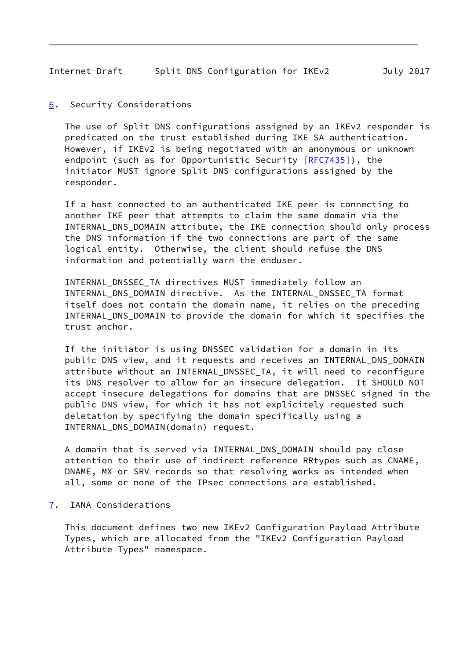<span id="page-9-1"></span>Internet-Draft Split DNS Configuration for IKEv2 July 2017

<span id="page-9-0"></span>[6](#page-9-0). Security Considerations

 The use of Split DNS configurations assigned by an IKEv2 responder is predicated on the trust established during IKE SA authentication. However, if IKEv2 is being negotiated with an anonymous or unknown endpoint (such as for Opportunistic Security [\[RFC7435](https://datatracker.ietf.org/doc/pdf/rfc7435)]), the initiator MUST ignore Split DNS configurations assigned by the responder.

 If a host connected to an authenticated IKE peer is connecting to another IKE peer that attempts to claim the same domain via the INTERNAL\_DNS\_DOMAIN attribute, the IKE connection should only process the DNS information if the two connections are part of the same logical entity. Otherwise, the client should refuse the DNS information and potentially warn the enduser.

 INTERNAL\_DNSSEC\_TA directives MUST immediately follow an INTERNAL\_DNS\_DOMAIN directive. As the INTERNAL\_DNSSEC\_TA format itself does not contain the domain name, it relies on the preceding INTERNAL\_DNS\_DOMAIN to provide the domain for which it specifies the trust anchor.

 If the initiator is using DNSSEC validation for a domain in its public DNS view, and it requests and receives an INTERNAL\_DNS\_DOMAIN attribute without an INTERNAL\_DNSSEC\_TA, it will need to reconfigure its DNS resolver to allow for an insecure delegation. It SHOULD NOT accept insecure delegations for domains that are DNSSEC signed in the public DNS view, for which it has not explicitely requested such deletation by specifying the domain specifically using a INTERNAL\_DNS\_DOMAIN(domain) request.

 A domain that is served via INTERNAL\_DNS\_DOMAIN should pay close attention to their use of indirect reference RRtypes such as CNAME, DNAME, MX or SRV records so that resolving works as intended when all, some or none of the IPsec connections are established.

<span id="page-9-2"></span>[7](#page-9-2). IANA Considerations

 This document defines two new IKEv2 Configuration Payload Attribute Types, which are allocated from the "IKEv2 Configuration Payload Attribute Types" namespace.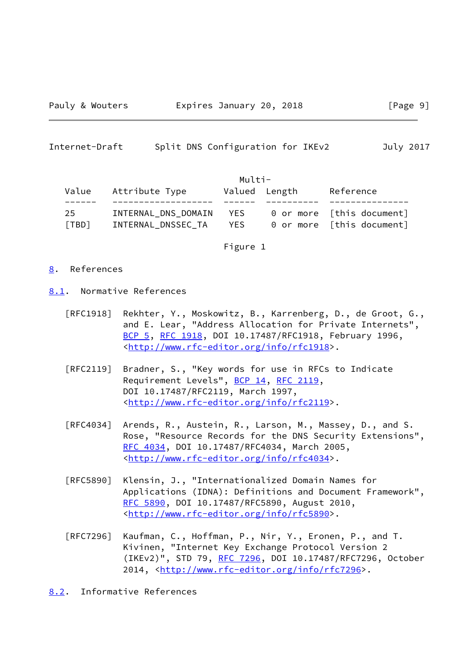<span id="page-10-1"></span>Internet-Draft Split DNS Configuration for IKEv2 July 2017

|             |                                           | Multi-      |               |                                                        |
|-------------|-------------------------------------------|-------------|---------------|--------------------------------------------------------|
| Value       | Attribute Type                            |             | Valued Length | Reference                                              |
|             |                                           |             |               |                                                        |
| 25<br>[TBD] | INTERNAL DNS DOMAIN<br>INTERNAL DNSSEC TA | YES<br>YES. |               | 0 or more [this document]<br>0 or more [this document] |

Figure 1

# <span id="page-10-0"></span>[8](#page-10-0). References

- <span id="page-10-2"></span>[8.1](#page-10-2). Normative References
	- [RFC1918] Rekhter, Y., Moskowitz, B., Karrenberg, D., de Groot, G., and E. Lear, "Address Allocation for Private Internets", [BCP 5,](https://datatracker.ietf.org/doc/pdf/bcp5) [RFC 1918](https://datatracker.ietf.org/doc/pdf/rfc1918), DOI 10.17487/RFC1918, February 1996, <<http://www.rfc-editor.org/info/rfc1918>>.
	- [RFC2119] Bradner, S., "Key words for use in RFCs to Indicate Requirement Levels", [BCP 14](https://datatracker.ietf.org/doc/pdf/bcp14), [RFC 2119](https://datatracker.ietf.org/doc/pdf/rfc2119), DOI 10.17487/RFC2119, March 1997, <<http://www.rfc-editor.org/info/rfc2119>>.
	- [RFC4034] Arends, R., Austein, R., Larson, M., Massey, D., and S. Rose, "Resource Records for the DNS Security Extensions", [RFC 4034,](https://datatracker.ietf.org/doc/pdf/rfc4034) DOI 10.17487/RFC4034, March 2005, <<http://www.rfc-editor.org/info/rfc4034>>.
	- [RFC5890] Klensin, J., "Internationalized Domain Names for Applications (IDNA): Definitions and Document Framework", [RFC 5890,](https://datatracker.ietf.org/doc/pdf/rfc5890) DOI 10.17487/RFC5890, August 2010, <<http://www.rfc-editor.org/info/rfc5890>>.
	- [RFC7296] Kaufman, C., Hoffman, P., Nir, Y., Eronen, P., and T. Kivinen, "Internet Key Exchange Protocol Version 2 (IKEv2)", STD 79, [RFC 7296](https://datatracker.ietf.org/doc/pdf/rfc7296), DOI 10.17487/RFC7296, October 2014, [<http://www.rfc-editor.org/info/rfc7296](http://www.rfc-editor.org/info/rfc7296)>.

<span id="page-10-3"></span>[8.2](#page-10-3). Informative References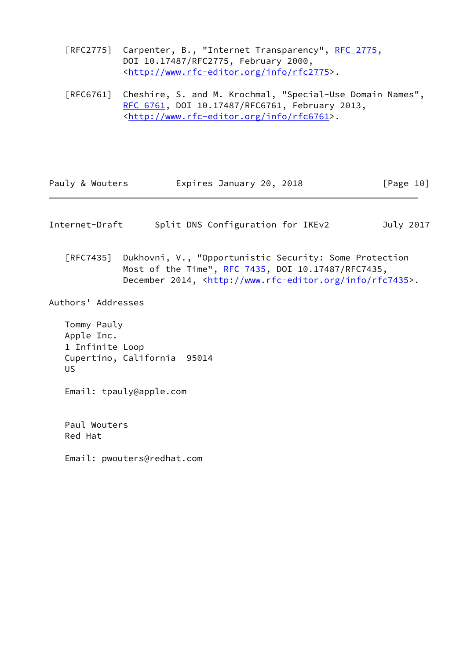- [RFC2775] Carpenter, B., "Internet Transparency", [RFC 2775,](https://datatracker.ietf.org/doc/pdf/rfc2775) DOI 10.17487/RFC2775, February 2000, <<http://www.rfc-editor.org/info/rfc2775>>.
- [RFC6761] Cheshire, S. and M. Krochmal, "Special-Use Domain Names", [RFC 6761,](https://datatracker.ietf.org/doc/pdf/rfc6761) DOI 10.17487/RFC6761, February 2013, <<http://www.rfc-editor.org/info/rfc6761>>.

| Pauly & Wouters | Expires January 20, 2018 | [Page 10] |
|-----------------|--------------------------|-----------|
|-----------------|--------------------------|-----------|

- <span id="page-11-0"></span>Internet-Draft Split DNS Configuration for IKEv2 July 2017
	- [RFC7435] Dukhovni, V., "Opportunistic Security: Some Protection Most of the Time", [RFC 7435](https://datatracker.ietf.org/doc/pdf/rfc7435), DOI 10.17487/RFC7435, December 2014, <<http://www.rfc-editor.org/info/rfc7435>>.

Authors' Addresses

 Tommy Pauly Apple Inc. 1 Infinite Loop Cupertino, California 95014 US

Email: tpauly@apple.com

 Paul Wouters Red Hat

Email: pwouters@redhat.com